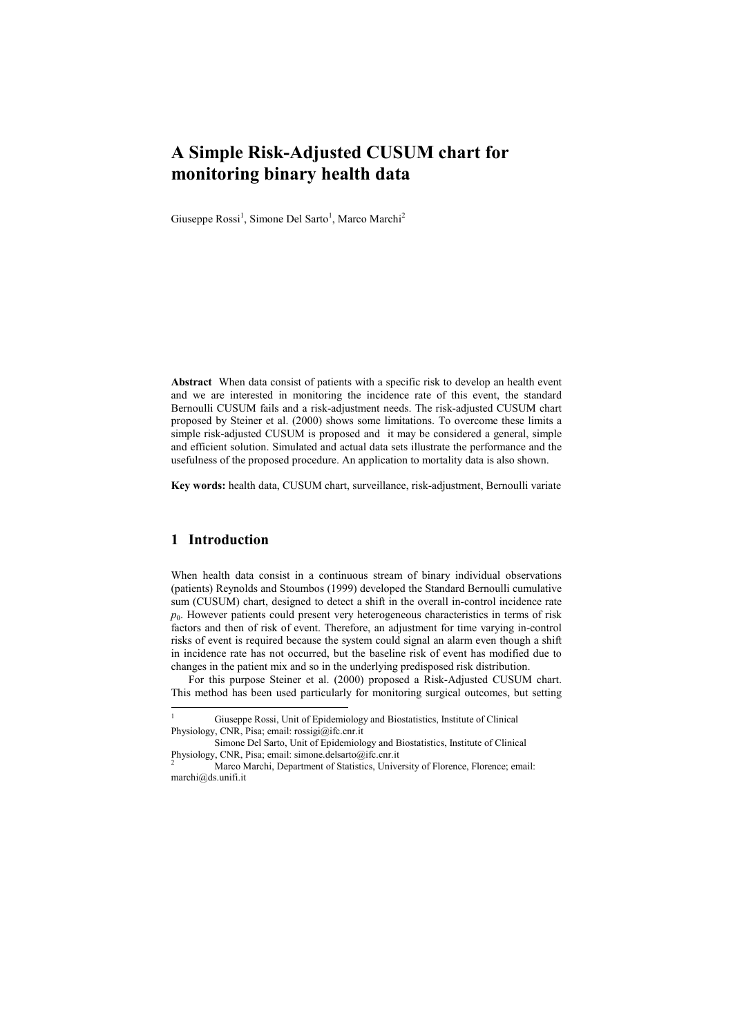# **A Simple Risk-Adjusted CUSUM chart for monitoring binary health data**

Giuseppe Rossi<sup>1</sup>, Simone Del Sarto<sup>1</sup>, Marco Marchi<sup>2</sup>

**Abstract** When data consist of patients with a specific risk to develop an health event and we are interested in monitoring the incidence rate of this event, the standard Bernoulli CUSUM fails and a risk-adjustment needs. The risk-adjusted CUSUM chart proposed by Steiner et al. (2000) shows some limitations. To overcome these limits a simple risk-adjusted CUSUM is proposed and it may be considered a general, simple and efficient solution. Simulated and actual data sets illustrate the performance and the usefulness of the proposed procedure. An application to mortality data is also shown.

**Key words:** health data, CUSUM chart, surveillance, risk-adjustment, Bernoulli variate

# **1 Introduction**

 $\overline{a}$ 

When health data consist in a continuous stream of binary individual observations (patients) Reynolds and Stoumbos (1999) developed the Standard Bernoulli cumulative sum (CUSUM) chart, designed to detect a shift in the overall in-control incidence rate *p*0 . However patients could present very heterogeneous characteristics in terms of risk factors and then of risk of event. Therefore, an adjustment for time varying in-control risks of event is required because the system could signal an alarm even though a shift in incidence rate has not occurred, but the baseline risk of event has modified due to changes in the patient mix and so in the underlying predisposed risk distribution.

For this purpose Steiner et al. (2000) proposed a Risk-Adjusted CUSUM chart. This method has been used particularly for monitoring surgical outcomes, but setting

<sup>1</sup> Giuseppe Rossi, Unit of Epidemiology and Biostatistics, Institute of Clinical Physiology, CNR, Pisa; email: rossigi@ifc.cnr.it

Simone Del Sarto, Unit of Epidemiology and Biostatistics, Institute of Clinical Physiology, CNR, Pisa; email: simone.delsarto@ifc.cnr.it

<sup>2</sup> Marco Marchi, Department of Statistics, University of Florence, Florence; email: marchi@ds.unifi.it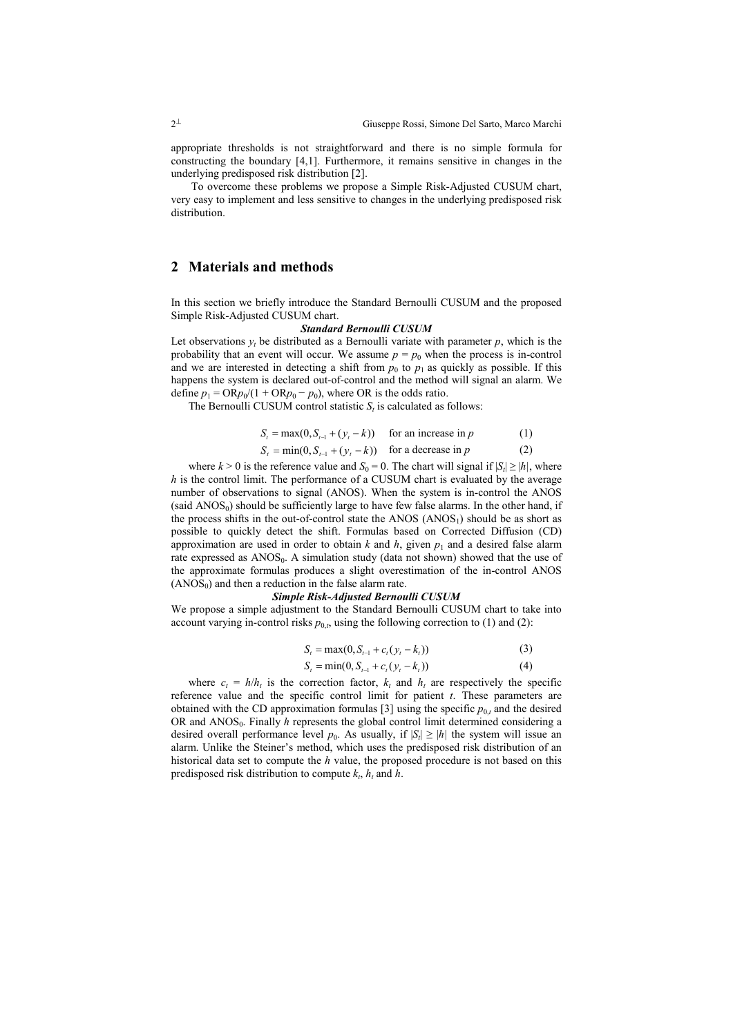appropriate thresholds is not straightforward and there is no simple formula for constructing the boundary [4,1]. Furthermore, it remains sensitive in changes in the underlying predisposed risk distribution [2].

 To overcome these problems we propose a Simple Risk-Adjusted CUSUM chart, very easy to implement and less sensitive to changes in the underlying predisposed risk distribution.

# **2 Materials and methods**

In this section we briefly introduce the Standard Bernoulli CUSUM and the proposed Simple Risk-Adjusted CUSUM chart.

#### *Standard Bernoulli CUSUM*

Let observations  $y_t$  be distributed as a Bernoulli variate with parameter  $p$ , which is the probability that an event will occur. We assume  $p = p_0$  when the process is in-control and we are interested in detecting a shift from  $p_0$  to  $p_1$  as quickly as possible. If this happens the system is declared out-of-control and the method will signal an alarm. We define  $p_1 = \text{OR}p_0/(1 + \text{OR}p_0 - p_0)$ , where OR is the odds ratio.

The Bernoulli CUSUM control statistic  $S_t$  is calculated as follows:

$$
S_t = \max(0, S_{t-1} + (y_t - k)) \quad \text{for an increase in } p \tag{1}
$$

$$
S_t = \min(0, S_{t-1} + (y_t - k)) \quad \text{for a decrease in } p \tag{2}
$$

where  $k > 0$  is the reference value and  $S_0 = 0$ . The chart will signal if  $|S_t| \ge |h|$ , where *h* is the control limit. The performance of a CUSUM chart is evaluated by the average number of observations to signal (ANOS). When the system is in-control the ANOS  $(said ANOS<sub>0</sub>)$  should be sufficiently large to have few false alarms. In the other hand, if the process shifts in the out-of-control state the  $ANOS (ANOS<sub>1</sub>)$  should be as short as possible to quickly detect the shift. Formulas based on Corrected Diffusion (CD) approximation are used in order to obtain  $k$  and  $h$ , given  $p_1$  and a desired false alarm rate expressed as  $ANOS_0$ . A simulation study (data not shown) showed that the use of the approximate formulas produces a slight overestimation of the in-control ANOS  $(ANOS<sub>0</sub>)$  and then a reduction in the false alarm rate.

#### *Simple Risk-Adjusted Bernoulli CUSUM*

We propose a simple adjustment to the Standard Bernoulli CUSUM chart to take into account varying in-control risks  $p_{0,t}$ , using the following correction to (1) and (2):

$$
S_t = \max(0, S_{t-1} + c_t(y_t - k_t))
$$
\n(3)

$$
S_t = \min(0, S_{t-1} + c_t (y_t - k_t))
$$
\n(4)

where  $c_t = h/h_t$  is the correction factor,  $k_t$  and  $h_t$  are respectively the specific reference value and the specific control limit for patient *t*. These parameters are obtained with the CD approximation formulas [3] using the specific  $p_{0,t}$  and the desired OR and ANOS<sub>0</sub>. Finally *h* represents the global control limit determined considering a desired overall performance level  $p_0$ . As usually, if  $|S_t| \ge |h|$  the system will issue an alarm. Unlike the Steiner's method, which uses the predisposed risk distribution of an historical data set to compute the *h* value, the proposed procedure is not based on this predisposed risk distribution to compute  $k_t$ ,  $h_t$  and  $h$ .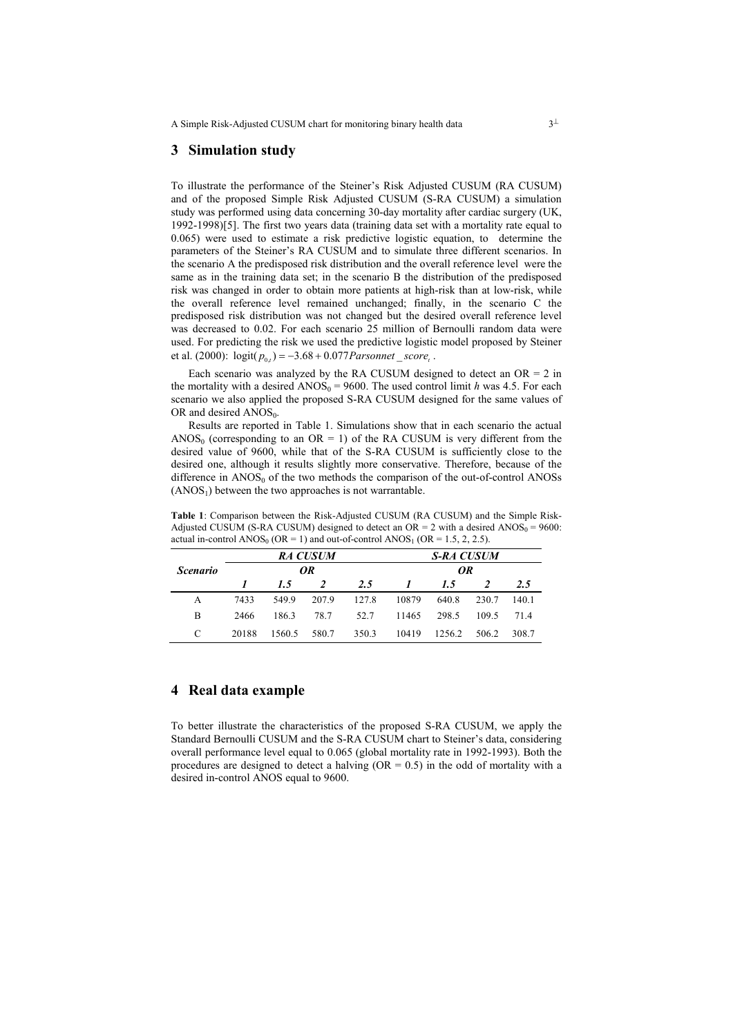A Simple Risk-Adjusted CUSUM chart for monitoring binary health data  $3<sup>\perp</sup>$ 

### **3 Simulation study**

To illustrate the performance of the Steiner's Risk Adjusted CUSUM (RA CUSUM) and of the proposed Simple Risk Adjusted CUSUM (S-RA CUSUM) a simulation study was performed using data concerning 30-day mortality after cardiac surgery (UK, 1992-1998)[5]. The first two years data (training data set with a mortality rate equal to 0.065) were used to estimate a risk predictive logistic equation, to determine the parameters of the Steiner's RA CUSUM and to simulate three different scenarios. In the scenario A the predisposed risk distribution and the overall reference level were the same as in the training data set; in the scenario B the distribution of the predisposed risk was changed in order to obtain more patients at high-risk than at low-risk, while the overall reference level remained unchanged; finally, in the scenario C the predisposed risk distribution was not changed but the desired overall reference level was decreased to 0.02. For each scenario 25 million of Bernoulli random data were used. For predicting the risk we used the predictive logistic model proposed by Steiner et al. (2000):  $logit(p_{0,t}) = -3.68 + 0.077$ *Parsonnet* \_ *score*<sub>t</sub>.

Each scenario was analyzed by the RA CUSUM designed to detect an  $OR = 2$  in the mortality with a desired  $AMOS_0 = 9600$ . The used control limit *h* was 4.5. For each scenario we also applied the proposed S-RA CUSUM designed for the same values of OR and desired  $\triangle NOS_0$ .

Results are reported in Table 1. Simulations show that in each scenario the actual ANOS<sub>0</sub> (corresponding to an OR = 1) of the RA CUSUM is very different from the desired value of 9600, while that of the S-RA CUSUM is sufficiently close to the desired one, although it results slightly more conservative. Therefore, because of the difference in  $ANOS_0$  of the two methods the comparison of the out-of-control  $ANOSs$  $(ANSS<sub>1</sub>)$  between the two approaches is not warrantable.

| <i>Scenario</i> | <b>RA CUSUM</b><br>OR |        |       |       | <b>S-RA CUSUM</b><br>OR |        |       |       |
|-----------------|-----------------------|--------|-------|-------|-------------------------|--------|-------|-------|
|                 |                       |        |       |       |                         |        |       |       |
|                 | A                     | 7433   | 549.9 | 207.9 | 127.8                   | 10879  | 640.8 | 230.7 |
| B               | 2466                  | 186.3  | 78.7  | 52.7  | 11465                   | 298.5  | 1095  | 714   |
| C               | 20188                 | 1560.5 | 580.7 | 350.3 | 10419                   | 1256.2 | 506.2 | 308.7 |

**Table 1**: Comparison between the Risk-Adjusted CUSUM (RA CUSUM) and the Simple Risk-Adjusted CUSUM (S-RA CUSUM) designed to detect an  $OR = 2$  with a desired  $ANOS_0 = 9600$ : actual in-control  $ANOS_0$  (OR = 1) and out-of-control  $ANOS_1$  (OR = 1.5, 2, 2.5).

# **4 Real data example**

To better illustrate the characteristics of the proposed S-RA CUSUM, we apply the Standard Bernoulli CUSUM and the S-RA CUSUM chart to Steiner's data, considering overall performance level equal to 0.065 (global mortality rate in 1992-1993). Both the procedures are designed to detect a halving  $(OR = 0.5)$  in the odd of mortality with a desired in-control ANOS equal to 9600.